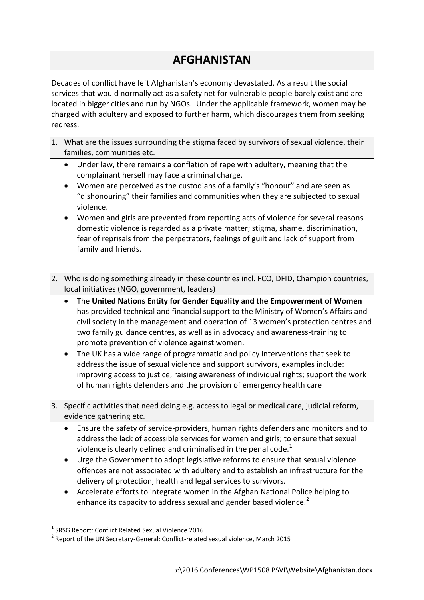## **AFGHANISTAN**

Decades of conflict have left Afghanistan's economy devastated. As a result the social services that would normally act as a safety net for vulnerable people barely exist and are located in bigger cities and run by NGOs. Under the applicable framework, women may be charged with adultery and exposed to further harm, which discourages them from seeking redress.

- 1. What are the issues surrounding the stigma faced by survivors of sexual violence, their families, communities etc.
	- Under law, there remains a conflation of rape with adultery, meaning that the complainant herself may face a criminal charge.
	- Women are perceived as the custodians of a family's "honour" and are seen as "dishonouring" their families and communities when they are subjected to sexual violence.
	- Women and girls are prevented from reporting acts of violence for several reasons domestic violence is regarded as a private matter; stigma, shame, discrimination, fear of reprisals from the perpetrators, feelings of guilt and lack of support from family and friends.
- 2. Who is doing something already in these countries incl. FCO, DFID, Champion countries, local initiatives (NGO, government, leaders)
	- The **United Nations Entity for Gender Equality and the Empowerment of Women**  has provided technical and financial support to the Ministry of Women's Affairs and civil society in the management and operation of 13 women's protection centres and two family guidance centres, as well as in advocacy and awareness-training to promote prevention of violence against women.
	- The UK has a wide range of programmatic and policy interventions that seek to address the issue of sexual violence and support survivors, examples include: improving access to justice; raising awareness of individual rights; support the work of human rights defenders and the provision of emergency health care
- 3. Specific activities that need doing e.g. access to legal or medical care, judicial reform, evidence gathering etc.
	- Ensure the safety of service-providers, human rights defenders and monitors and to address the lack of accessible services for women and girls; to ensure that sexual violence is clearly defined and criminalised in the penal code. $1$
	- Urge the Government to adopt legislative reforms to ensure that sexual violence offences are not associated with adultery and to establish an infrastructure for the delivery of protection, health and legal services to survivors.
	- Accelerate efforts to integrate women in the Afghan National Police helping to enhance its capacity to address sexual and gender based violence.<sup>2</sup>

**.** 

<sup>&</sup>lt;sup>1</sup> SRSG Report: Conflict Related Sexual Violence 2016

 $^2$  Report of the UN Secretary-General: Conflict-related sexual violence, March 2015